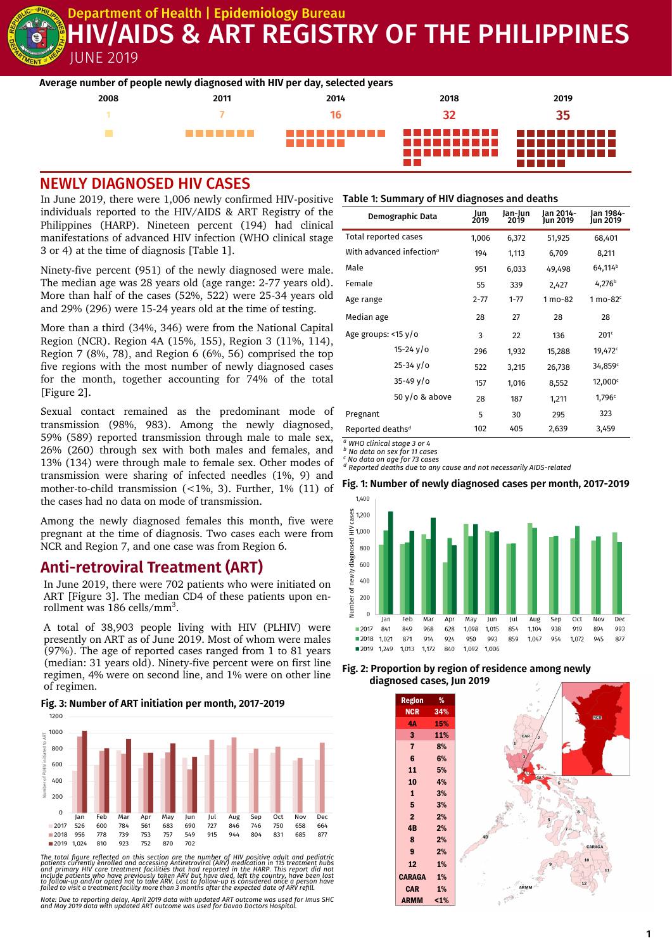Department of Health | **Epidemiology** Bureau

# JUNE 2019 V/AIDS & ART REGISTRY OF THE PHILIPPINES

|      |         | Average number of people newly diagnosed with HIV per day, selected years |                 |                       |
|------|---------|---------------------------------------------------------------------------|-----------------|-----------------------|
| 2008 | 2011    | 2014                                                                      | 2018            | 2019                  |
|      |         |                                                                           | 32              | 35                    |
|      | ------- | ------                                                                    | ----------<br>. | .<br>.<br>----------- |

### NEWLY DIAGNOSED HIV CASES

In June 2019, there were 1,006 newly confirmed HIV-positive **Table 1: Summary of HIV diagnoses and deaths** individuals reported to the HIV/AIDS & ART Registry of the Philippines (HARP). Nineteen percent (194) had clinical manifestations of advanced HIV infection (WHO clinical stage 3 or 4) at the time of diagnosis [Table 1].

Ninety-five percent (951) of the newly diagnosed were male. The median age was 28 years old (age range: 2-77 years old). More than half of the cases (52%, 522) were 25-34 years old and 29% (296) were 15-24 years old at the time of testing.

More than a third (34%, 346) were from the National Capital Region (NCR). Region 4A (15%, 155), Region 3 (11%, 114), Region 7 (8%, 78), and Region 6 (6%, 56) comprised the top five regions with the most number of newly diagnosed cases for the month, together accounting for 74% of the total [Figure 2].

Sexual contact remained as the predominant mode of transmission (98%, 983). Among the newly diagnosed, 59% (589) reported transmission through male to male sex, 26% (260) through sex with both males and females, and 13% (134) were through male to female sex. Other modes of transmission were sharing of infected needles (1%, 9) and mother-to-child transmission (<1%, 3). Further, 1% (11) of the cases had no data on mode of transmission.

Among the newly diagnosed females this month, five were pregnant at the time of diagnosis. Two cases each were from NCR and Region 7, and one case was from Region 6.

## **Anti-retroviral Treatment (ART)**

In June 2019, there were 702 patients who were initiated on ART [Figure 3]. The median CD4 of these patients upon enrollment was 186 cells/mm<sup>3</sup>.

A total of 38,903 people living with HIV (PLHIV) were presently on ART as of June 2019. Most of whom were males (97%). The age of reported cases ranged from 1 to 81 years (median: 31 years old). Ninety-five percent were on first line regimen, 4% were on second line, and 1% were on other line of regimen.

#### **Fig. 3: Number of ART initiation per month, 2017-2019**



The total figure reflected on this section are the number of HIV positive adult and pediatric<br>patients currently enrolled and accessing Antiretroviral (ARV) medication in 115 treatment hubs<br>and primary HIV care treatment f

*Note: Due to reporting delay, April 2019 data with updated ART outcome was used for Imus SHC and May 2019 data with updated ART outcome was used for Davao Doctors Hospital.*

|                              | Demographic Data                     | Jun<br>2019 | Jan-Jun<br>2019 | lan 2014-<br>Jun 2019 | lan 1984-<br>Jun 2019 |
|------------------------------|--------------------------------------|-------------|-----------------|-----------------------|-----------------------|
| Total reported cases         |                                      | 1,006       | 6,372           | 51,925                | 68,401                |
|                              | With advanced infection <sup>®</sup> | 194         | 1,113           | 6,709                 | 8,211                 |
| Male                         |                                      | 951         | 6,033           | 49,498                | 64,114 <sup>b</sup>   |
| Female                       |                                      | 55          | 339             | 2,427                 | 4,276 <sup>b</sup>    |
| Age range                    |                                      | $2 - 77$    | $1 - 77$        | 1 mo-82               | 1 mo-82 $c$           |
| Median age                   |                                      | 28          | 27              | 28                    | 28                    |
| Age groups: <15 y/o          |                                      | 3           | 22              | 136                   | 201 <sup>c</sup>      |
|                              | $15 - 24$ $\sqrt{0}$                 | 296         | 1,932           | 15,288                | 19,472 <sup>c</sup>   |
|                              | $25 - 34 \sqrt{o}$                   | 522         | 3,215           | 26,738                | 34,859°               |
|                              | $35 - 49$ $V/O$                      | 157         | 1,016           | 8,552                 | 12,000 <sup>c</sup>   |
|                              | $50 y/o$ & above                     | 28          | 187             | 1,211                 | 1,796c                |
| Pregnant                     |                                      | 5           | 30              | 295                   | 323                   |
| Reported deaths <sup>d</sup> |                                      | 102         | 405             | 2,639                 | 3,459                 |

*<sup>a</sup> WHO clinical stage 3 or 4*

*<sup>b</sup> No data on sex for 11 cases*

*<sup>c</sup> No data on age for 73 cases <sup>d</sup> Reported deaths due to any cause and not necessarily AIDS-related*

#### **Fig. 1: Number of newly diagnosed cases per month, 2017-2019**



#### **Fig. 2: Proportion by region of residence among newly diagnosed cases, Jun 2019**

| <b>Region</b>           | %   |                       |
|-------------------------|-----|-----------------------|
| <b>NCR</b>              | 34% |                       |
| 4Α                      | 15% | <b>NGR</b>            |
| 3                       | 11% | CAR<br>$\overline{a}$ |
| $\overline{\mathbf{r}}$ | 8%  |                       |
| $\bf 6$                 | 6%  | 3                     |
| 11                      | 5%  | to.                   |
| 10                      | 4%  | 4A                    |
| $\mathbf{1}$            | 3%  |                       |
| 5                       | 3%  |                       |
| $\overline{\mathbf{2}}$ | 2%  |                       |
| 4B                      | 2%  |                       |
| 8                       | 2%  |                       |
| 9                       | 2%  | CARAGA                |
| 12                      | 1%  | 10                    |
| <b>CARAGA</b>           | 1%  |                       |
| <b>CAR</b>              | 1%  | 12<br>RMM             |
| <b>ARMM</b>             | 1%  |                       |
|                         |     | $\mathfrak{Z}$        |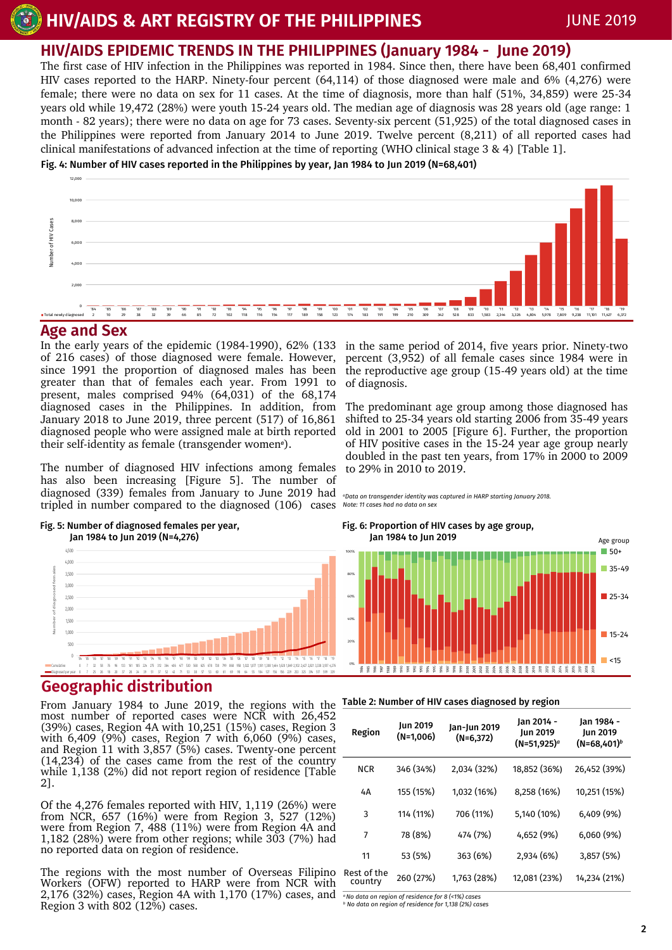## **HIV/AIDS EPIDEMIC TRENDS IN THE PHILIPPINES (January 1984 - June 2019)**

The first case of HIV infection in the Philippines was reported in 1984. Since then, there have been 68,401 confirmed HIV cases reported to the HARP. Ninety-four percent (64,114) of those diagnosed were male and 6% (4,276) were female; there were no data on sex for 11 cases. At the time of diagnosis, more than half (51%, 34,859) were 25-34 years old while 19,472 (28%) were youth 15-24 years old. The median age of diagnosis was 28 years old (age range: 1 month - 82 years); there were no data on age for 73 cases. Seventy-six percent (51,925) of the total diagnosed cases in the Philippines were reported from January 2014 to June 2019. Twelve percent (8,211) of all reported cases had clinical manifestations of advanced infection at the time of reporting (WHO clinical stage 3 & 4) [Table 1].

Fig. 4: Number of HIV cases reported in the Philippines by year, Jan 1984 to Jun 2019 (N=68,401)



#### **Age and Sex**

In the early years of the epidemic (1984-1990), 62% (133 of 216 cases) of those diagnosed were female. However, since 1991 the proportion of diagnosed males has been greater than that of females each year. From 1991 to present, males comprised 94% (64,031) of the 68,174 diagnosed cases in the Philippines. In addition, from January 2018 to June 2019, three percent (517) of 16,861 diagnosed people who were assigned male at birth reported their self-identity as female (transgender women*a*).

The number of diagnosed HIV infections among females has also been increasing [Figure 5]. The number of diagnosed (339) females from January to June 2019 had tripled in number compared to the diagnosed (106) cases *Note: 11 cases had no data on sex*



#### Fig. 5: Number of diagnosed females per year, Jan 1984 to Jun 2019 (N=4,276)

## **Geographic distribution**

From January 1984 to June 2019, the regions with the Iable 2:Number of HIV cases diagnosed by region most number of reported cases were NCR with 26,452 (39%) cases, Region 4A with 10,251 (15%) cases, Region 3 with 6,409 (9%) cases, Region 7 with 6,060 (9%) cases, and Region 11 with 3,857 (5%) cases. Twenty-one percent (14,234) of the cases came from the rest of the country while 1,138 (2%) did not report region of residence [Table 2].

Of the 4,276 females reported with HIV, 1,119 (26%) were from NCR, 657 (16%) were from Region 3, 527 (12%) were from Region 7, 488 (11%) were from Region 4A and 1,182 (28%) were from other regions; while 303 (7%) had no reported data on region of residence.

The regions with the most number of Overseas Filipino Workers (OFW) reported to HARP were from NCR with 2,176 (32%) cases, Region 4A with 1,170 (17%) cases, and Region 3 with 802 (12%) cases.

in the same period of 2014, five years prior. Ninety-two percent (3,952) of all female cases since 1984 were in the reproductive age group (15-49 years old) at the time of diagnosis.

The predominant age group among those diagnosed has shifted to 25-34 years old starting 2006 from 35-49 years old in 2001 to 2005 [Figure 6]. Further, the proportion of HIV positive cases in the 15-24 year age group nearly doubled in the past ten years, from 17% in 2000 to 2009 to 29% in 2010 to 2019.

*<sup>a</sup>Data on transgender identity was captured in HARP starting January 2018.*

#### Fig. 6: Proportion of HIV cases by age group, Jan 1984 to Jun 2019



| Region                 | Jun 2019<br>$(N=1,006)$ | Jan-Jun 2019<br>$(N=6,372)$ | Jan 2014 -<br>Jun 2019<br>$(N=51,925)^{a}$ | Jan 1984 -<br>Jun 2019<br>$(N=68,401)^b$ |
|------------------------|-------------------------|-----------------------------|--------------------------------------------|------------------------------------------|
| <b>NCR</b>             | 346 (34%)               | 2,034 (32%)                 | 18,852 (36%)                               | 26,452 (39%)                             |
| 4A                     | 155 (15%)               | 1,032 (16%)                 | 8,258 (16%)                                | 10,251 (15%)                             |
| 3                      | 114 (11%)               | 706 (11%)                   | 5,140 (10%)                                | 6,409(9%)                                |
| 7                      | 78 (8%)                 | 474 (7%)                    | 4,652 (9%)                                 | 6,060(9%)                                |
| 11                     | 53 (5%)                 | 363 (6%)                    | 2,934 (6%)                                 | 3,857(5%)                                |
| Rest of the<br>country | 260 (27%)               | 1,763 (28%)                 | 12,081 (23%)                               | 14,234 (21%)                             |

*<sup>a</sup>No data on region of residence for 8 (<1%) cases <sup>b</sup> No data on region of residence for 1,138 (2%) cases*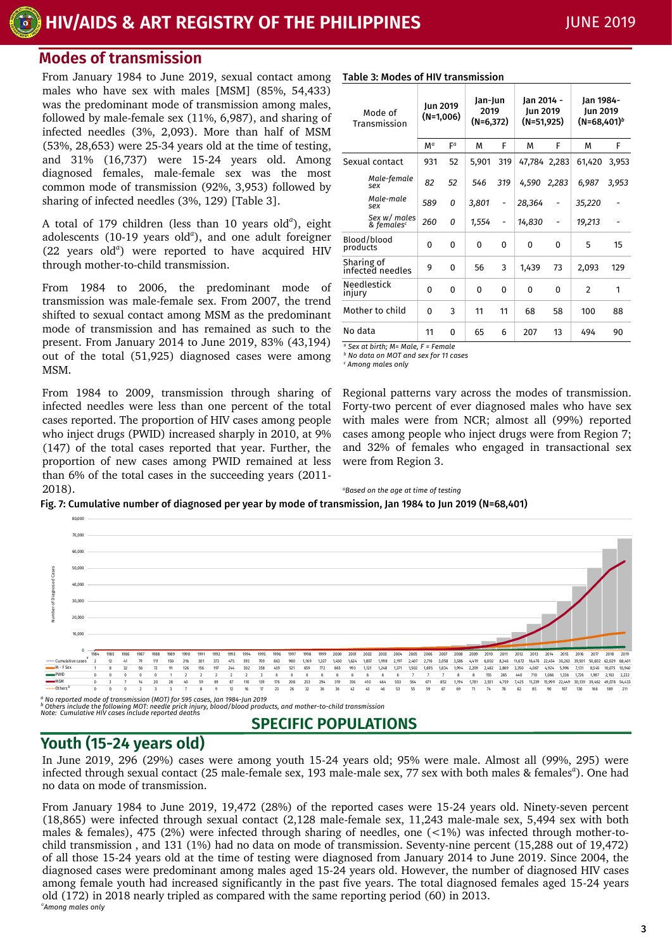# **HIV/AIDS & ART REGISTRY OF THE PHILIPPINES** JUNE 2019

## **Modes of transmission**

From January 1984 to June 2019, sexual contact among males who have sex with males [MSM] (85%, 54,433) was the predominant mode of transmission among males, followed by male-female sex (11%, 6,987), and sharing of infected needles (3%, 2,093). More than half of MSM (53%, 28,653) were 25-34 years old at the time of testing, and 31% (16,737) were 15-24 years old. Among diagnosed females, male-female sex was the most common mode of transmission (92%, 3,953) followed by sharing of infected needles (3%, 129) [Table 3].

A total of 179 children (less than 10 years old<sup>a</sup>), eight adolescents (10-19 years old<sup>a</sup>), and one adult foreigner (22 years old*<sup>a</sup>* ) were reported to have acquired HIV through mother-to-child transmission.

From 1984 to 2006, the predominant mode of transmission was male-female sex. From 2007, the trend shifted to sexual contact among MSM as the predominant mode of transmission and has remained as such to the present. From January 2014 to June 2019, 83% (43,194) out of the total (51,925) diagnosed cases were among MSM.

From 1984 to 2009, transmission through sharing of infected needles were less than one percent of the total cases reported. The proportion of HIV cases among people who inject drugs (PWID) increased sharply in 2010, at 9% (147) of the total cases reported that year. Further, the proportion of new cases among PWID remained at less than 6% of the total cases in the succeeding years (2011- 2018).

| Mode of<br>Transmission |                                        | Jun 2019<br>(N=1,006) |          | Jan-Jun<br>2019<br>$(N=6,372)$ |                              | Jan 2014 -<br>Jun 2019<br>(N=51,925) |       | Jan 1984-<br>Jun 2019<br>$(N=68,401)^b$ |       |
|-------------------------|----------------------------------------|-----------------------|----------|--------------------------------|------------------------------|--------------------------------------|-------|-----------------------------------------|-------|
|                         |                                        | $M^a$                 | Fa       | M                              | F                            | М                                    | F     | M                                       | F     |
|                         | Sexual contact                         | 931                   | 52       | 5,901                          | 319                          | 47,784 2,283                         |       | 61,420                                  | 3,953 |
|                         | Male-female<br>sex                     | 82                    | 52       | 546                            | 319                          | 4,590                                | 2,283 | 6,987                                   | 3,953 |
|                         | Male-male<br>sex                       | 589                   | 0        | 3,801                          | $\qquad \qquad \blacksquare$ | 28,364                               |       | 35,220                                  |       |
|                         | Sex w/ males<br>& females <sup>c</sup> | 260                   | 0        | 1,554                          | -                            | 14,830                               |       | 19,213                                  |       |
| products                | Blood/blood                            | 0                     | 0        | 0                              | 0                            | $\Omega$                             | 0     | 5                                       | 15    |
|                         | Sharing of<br>infected needles         | 9                     | 0        | 56                             | 3                            | 1,439                                | 73    | 2,093                                   | 129   |
| injury                  | Needlestick                            | 0                     | 0        | 0                              | 0                            | 0                                    | 0     | $\overline{2}$                          | 1     |
|                         | Mother to child                        | $\Omega$              | 3        | 11                             | 11                           | 68                                   | 58    | 100                                     | 88    |
| No data                 |                                        | 11                    | $\Omega$ | 65                             | 6                            | 207                                  | 13    | 494                                     | 90    |

*<sup>a</sup> Sex at birth; M= Male, F = Female*

*<sup>a</sup>Based on the age at time of testing*

*<sup>b</sup> No data on MOT and sex for 11 cases*

Table 3: Modes of HIV transmission

*<sup>c</sup> Among males only*

Regional patterns vary across the modes of transmission. Forty-two percent of ever diagnosed males who have sex with males were from NCR; almost all (99%) reported cases among people who inject drugs were from Region 7; and 32% of females who engaged in transactional sex were from Region 3.

Fig. 7: Cumulative number of diagnosed per year by mode of transmission, Jan 1984 to Jun 2019 (N=68,401)



ª No reported mode of transmission (MOT) for 595 cases, Jan 1984-Jun 2019<br><sup>b</sup> Others include the following MOT: needle prick injury, blood/blood products, and mother-to-child transmission<br>Note: Cumulative HIV cases includ

## **SPECIFIC POPULATIONS**

## **Youth (15-24 years old)**

In June 2019, 296 (29%) cases were among youth 15-24 years old; 95% were male. Almost all (99%, 295) were infected through sexual contact (25 male-female sex, 193 male-male sex, 77 sex with both males & females*<sup>a</sup>* ). One had no data on mode of transmission.

From January 1984 to June 2019, 19,472 (28%) of the reported cases were 15-24 years old. Ninety-seven percent (18,865) were infected through sexual contact (2,128 male-female sex, 11,243 male-male sex, 5,494 sex with both males & females), 475 (2%) were infected through sharing of needles, one (<1%) was infected through mother-tochild transmission , and 131 (1%) had no data on mode of transmission. Seventy-nine percent (15,288 out of 19,472) of all those 15-24 years old at the time of testing were diagnosed from January 2014 to June 2019. Since 2004, the diagnosed cases were predominant among males aged 15-24 years old. However, the number of diagnosed HIV cases among female youth had increased significantly in the past five years. The total diagnosed females aged 15-24 years old (172) in 2018 nearly tripled as compared with the same reporting period (60) in 2013. *a Among males only*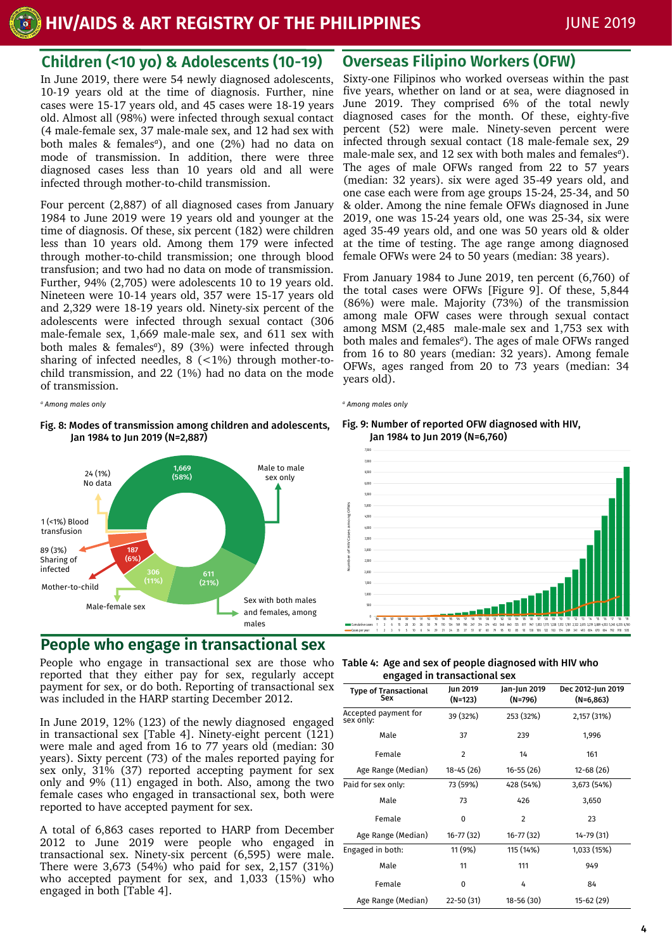## **Children (<10 yo) & Adolescents (10-19)**

In June 2019, there were 54 newly diagnosed adolescents, 10-19 years old at the time of diagnosis. Further, nine cases were 15-17 years old, and 45 cases were 18-19 years old. Almost all (98%) were infected through sexual contact (4 male-female sex, 37 male-male sex, and 12 had sex with both males & females*<sup>a</sup>* ), and one (2%) had no data on mode of transmission. In addition, there were three diagnosed cases less than 10 years old and all were infected through mother-to-child transmission.

Four percent (2,887) of all diagnosed cases from January 1984 to June 2019 were 19 years old and younger at the time of diagnosis. Of these, six percent (182) were children less than 10 years old. Among them 179 were infected through mother-to-child transmission; one through blood transfusion; and two had no data on mode of transmission. Further, 94% (2,705) were adolescents 10 to 19 years old. Nineteen were 10-14 years old, 357 were 15-17 years old and 2,329 were 18-19 years old. Ninety-six percent of the adolescents were infected through sexual contact (306 male-female sex, 1,669 male-male sex, and 611 sex with both males & females*<sup>a</sup>* ), 89 (3%) were infected through sharing of infected needles,  $8$  (<1%) through mother-tochild transmission, and 22 (1%) had no data on the mode of transmission.

*<sup>a</sup> Among males only <sup>a</sup> Among males only*

Fig. 8: Modes of transmission among children and adolescents, Jan 1984 to Jun 2019 (N=2,887)



## **People who engage in transactional sex**

People who engage in transactional sex are those who reported that they either pay for sex, regularly accept payment for sex, or do both. Reporting of transactional sex was included in the HARP starting December 2012.

In June 2019, 12% (123) of the newly diagnosed engaged in transactional sex [Table 4]. Ninety-eight percent (121) were male and aged from 16 to 77 years old (median: 30 years). Sixty percent (73) of the males reported paying for sex only, 31% (37) reported accepting payment for sex only and 9% (11) engaged in both. Also, among the two female cases who engaged in transactional sex, both were reported to have accepted payment for sex.

A total of 6,863 cases reported to HARP from December 2012 to June 2019 were people who engaged in transactional sex. Ninety-six percent (6,595) were male. There were 3,673 (54%) who paid for sex, 2,157 (31%) who accepted payment for sex, and 1,033 (15%) who engaged in both [Table 4].

## **Overseas Filipino Workers (OFW)**

Sixty-one Filipinos who worked overseas within the past five years, whether on land or at sea, were diagnosed in June 2019. They comprised 6% of the total newly diagnosed cases for the month. Of these, eighty-five percent (52) were male. Ninety-seven percent were infected through sexual contact (18 male-female sex, 29 male-male sex, and 12 sex with both males and females*<sup>a</sup>* ). The ages of male OFWs ranged from 22 to 57 years (median: 32 years). six were aged 35-49 years old, and one case each were from age groups 15-24, 25-34, and 50 & older. Among the nine female OFWs diagnosed in June 2019, one was 15-24 years old, one was 25-34, six were aged 35-49 years old, and one was 50 years old & older at the time of testing. The age range among diagnosed female OFWs were 24 to 50 years (median: 38 years).

From January 1984 to June 2019, ten percent (6,760) of the total cases were OFWs [Figure 9]. Of these, 5,844 (86%) were male. Majority (73%) of the transmission among male OFW cases were through sexual contact among MSM (2,485 male-male sex and 1,753 sex with both males and females*<sup>a</sup>* ). The ages of male OFWs ranged from 16 to 80 years (median: 32 years). Among female OFWs, ages ranged from 20 to 73 years (median: 34 years old).

#### Fig. 9: Number of reported OFW diagnosed with HIV, Jan 1984 to Jun 2019 (N=6,760)



| Table 4: Age and sex of people diagnosed with HIV who |
|-------------------------------------------------------|
| engaged in transactional sex                          |

| $\tilde{\phantom{a}}$               |                     |                         |                                  |
|-------------------------------------|---------------------|-------------------------|----------------------------------|
| <b>Type of Transactional</b><br>Sex | Jun 2019<br>(N=123) | Jan-Jun 2019<br>(N=796) | Dec 2012-Jun 2019<br>$(N=6,863)$ |
| Accepted payment for<br>sex only:   | 39 (32%)            | 253 (32%)               | 2,157 (31%)                      |
| Male                                | 37                  | 239                     | 1,996                            |
| Female                              | $\overline{2}$      | 14                      | 161                              |
| Age Range (Median)                  | 18-45 (26)          | $16 - 55(26)$           | $12 - 68(26)$                    |
| Paid for sex only:                  | 73 (59%)            | 428 (54%)               | 3,673 (54%)                      |
| Male                                | 73                  | 426                     | 3,650                            |
| Female                              | $\Omega$            | 2                       | 23                               |
| Age Range (Median)                  | 16-77 (32)          | $16 - 77(32)$           | 14-79 (31)                       |
| Engaged in both:                    | 11 (9%)             | 115 (14%)               | 1,033 (15%)                      |
| Male                                | 11                  | 111                     | 949                              |
| Female                              | $\Omega$            | 4                       | 84                               |
| Age Range (Median)                  | 22-50 (31)          | 18-56 (30)              | 15-62 (29)                       |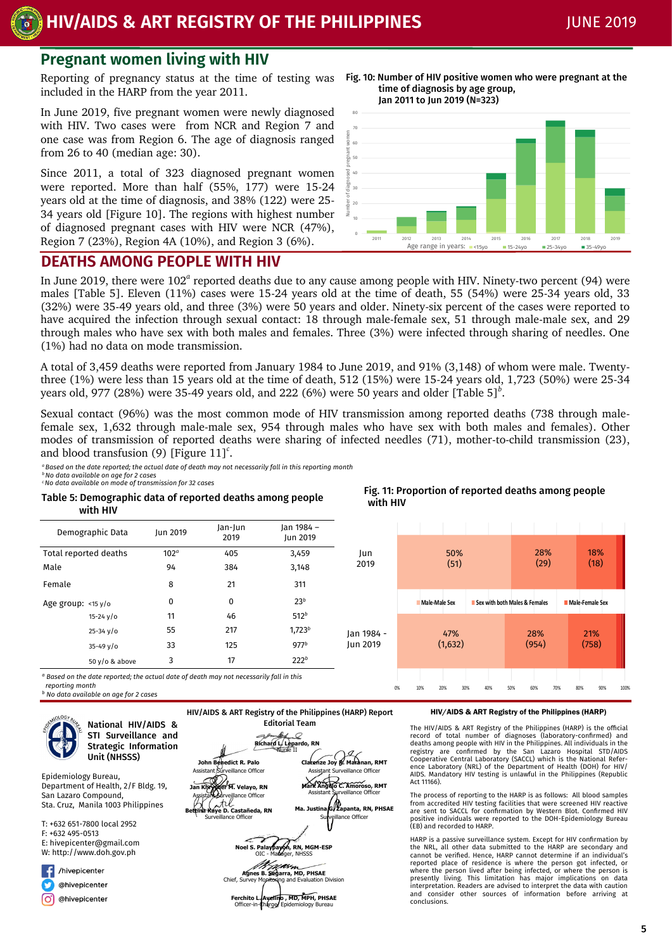**HIV/AIDS & ART REGISTRY OF THE PHILIPPINES** JUNE 2019

# **Pregnant women living with HIV**

Reporting of pregnancy status at the time of testing was included in the HARP from the year 2011.

In June 2019, five pregnant women were newly diagnosed with HIV. Two cases were from NCR and Region 7 and one case was from Region 6. The age of diagnosis ranged from 26 to 40 (median age: 30).

Since 2011, a total of 323 diagnosed pregnant women were reported. More than half (55%, 177) were 15-24 years old at the time of diagnosis, and 38% (122) were 25- 34 years old [Figure 10]. The regions with highest number of diagnosed pregnant cases with HIV were NCR (47%), Region 7 (23%), Region 4A (10%), and Region 3 (6%).

Fig. 10: Number of HIV positive women who were pregnant at the time of diagnosis by age group, Jan 2011 to Jun 2019 (N=323)



Fig. 11: Proportion of reported deaths among people

## **DEATHS AMONG PEOPLE WITH HIV**

In June 2019, there were 102<sup>ª</sup> reported deaths due to any cause among people with HIV. Ninety-two percent (94) were males [Table 5]. Eleven (11%) cases were 15-24 years old at the time of death, 55 (54%) were 25-34 years old, 33 (32%) were 35-49 years old, and three (3%) were 50 years and older. Ninety-six percent of the cases were reported to have acquired the infection through sexual contact: 18 through male-female sex, 51 through male-male sex, and 29 through males who have sex with both males and females. Three (3%) were infected through sharing of needles. One (1%) had no data on mode transmission.

A total of 3,459 deaths were reported from January 1984 to June 2019, and 91% (3,148) of whom were male. Twentythree (1%) were less than 15 years old at the time of death, 512 (15%) were 15-24 years old, 1,723 (50%) were 25-34 years old, 977 (28%) were 35-49 years old, and 222 (6%) were 50 years and older [Table 5] $^b$ .

Sexual contact (96%) was the most common mode of HIV transmission among reported deaths (738 through malefemale sex, 1,632 through male-male sex, 954 through males who have sex with both males and females). Other modes of transmission of reported deaths were sharing of infected needles (71), mother-to-child transmission (23), and blood transfusion (9) [Figure 11]*<sup>c</sup>* .

with HIV

*<sup>a</sup>Based on the date reported; the actual date of death may not necessarily fall in this reporting month*

*<sup>b</sup>No data available on age for 2 cases <sup>c</sup>No data available on mode of transmission for 32 cases*

Table 5: Demographic data of reported deaths among people  $W$ 

| with HIV                                                                                                     |                  |                 |                               |            |                      |                               |       |                 |  |
|--------------------------------------------------------------------------------------------------------------|------------------|-----------------|-------------------------------|------------|----------------------|-------------------------------|-------|-----------------|--|
| Demographic Data                                                                                             | Jun 2019         | Jan-Jun<br>2019 | Jan 1984 -<br><b>Jun 2019</b> |            |                      |                               |       |                 |  |
| Total reported deaths                                                                                        | 102 <sup>a</sup> | 405             | 3,459                         | Jun        | 50%                  |                               | 28%   | 18%             |  |
| Male                                                                                                         | 94               | 384             | 3,148                         | 2019       | (51)                 |                               | (29)  | (18)            |  |
| Female                                                                                                       | 8                | 21              | 311                           |            |                      |                               |       |                 |  |
| Age group: <15 y/o                                                                                           | $\mathbf 0$      | 0               | 23 <sup>b</sup>               |            | <b>Male-Male Sex</b> | Sex with both Males & Females |       | Male-Female Sex |  |
| $15 - 24$ $V/O$                                                                                              | 11               | 46              | 512 <sup>b</sup>              |            |                      |                               |       |                 |  |
| $25 - 34 \sqrt{o}$                                                                                           | 55               | 217             | 1,723 <sup>b</sup>            | lan 1984 - | 47%                  |                               | 28%   | 21%             |  |
| $35 - 49$ v/o                                                                                                | 33               | 125             | 977 <sup>b</sup>              | Jun 2019   | (1,632)              |                               | (954) | (758)           |  |
| 50 $V$ /0 & above                                                                                            | 3                | 17              | 222 <sup>b</sup>              |            |                      |                               |       |                 |  |
| المثطف وترالمكربائ ومممومون ومعربيو ومعامله والمتواطئ والمستحد والمفاسط والمعاون والمستحدث والمعاون والمعارف |                  |                 |                               |            |                      |                               |       |                 |  |

*<sup>a</sup> Based on the date reported; the actual date of death may not necessarily fall in this* 

 *reporting month*

*<sup>b</sup> No data available on age for 2 cases*



STI Surveillance and Strategic Information Unit (NHSSS)

Epidemiology Bureau, Department of Health, 2/F Bldg. 19, San Lazaro Compound, Sta. Cruz, Manila 1003 Philippines

T: +632 651-7800 local 2952 F: +632 495-0513 E: hivepicenter@gmail.com W: http://www.doh.gov.ph

/hivepicenter @hivepicenter @hivepicenter lo,



#### HIV/AIDS & ART Registry of the Philippines (HARP)

0% 10% 20% 30% 40% 50% 60% 70% 80% 90% 100%

The HIV/AIDS & ART Registry of the Philippines (HARP) is the official record of total number of diagnoses (laboratory-confirmed) and<br>deaths among people with HIV in the Philippines. All individuals in the<br>registry are confirmed by the San Lazaro Hospital STD/AIDS Cooperative Central Laboratory (SACCL) which is the National Refer-ence Laboratory (NRL) of the Department of Health (DOH) for HIV/ AIDS. Mandatory HIV testing is unlawful in the Philippines (Republic Act 11166).

The process of reporting to the HARP is as follows: All blood samples from accredited HIV testing facilities that were screened HIV reactive are sent to SACCL for confirmation by Western Blot. Confirmed HIV positive individuals were reported to the DOH-Epidemiology Bureau (EB) and recorded to HARP.

HARP is a passive surveillance system. Except for HIV confirmation by the NRL, all other data submitted to the HARP are secondary and cannot be verified. Hence, HARP cannot determine if an individual's reported place of residence is where the person got infected, or<br>where the person lived after being infected, or where the person is<br>presently living. This limitation has major implications on data<br>interpretation. Readers and consider other sources of information before arriving at conclusions.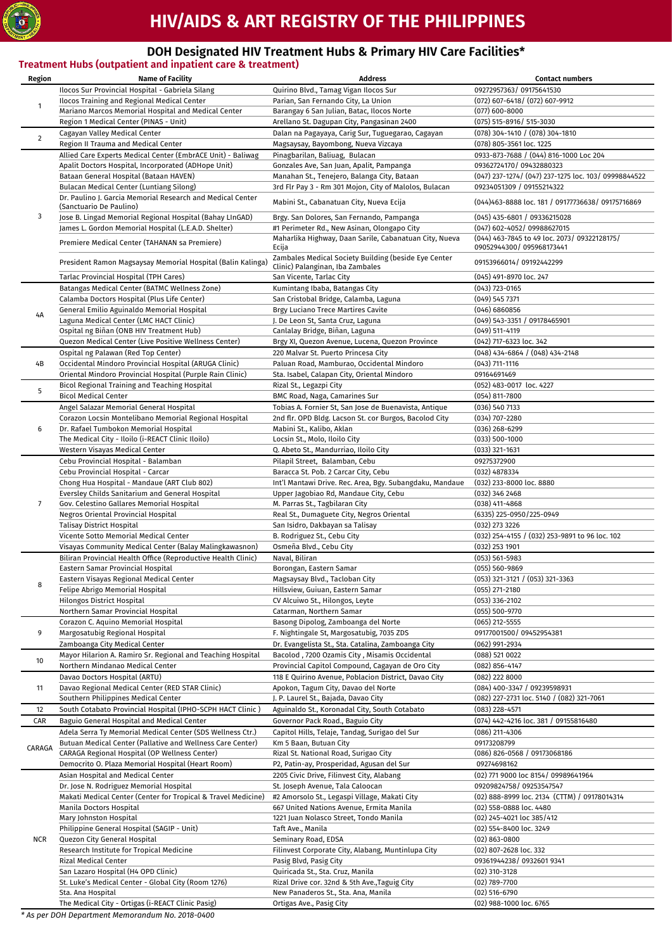

# **HIV/AIDS & ART REGISTRY OF THE PHILIPPINES**

### **DOH Designated HIV Treatment Hubs & Primary HIV Care Facilities\***

|                | Treatment Hubs (outpatient and inpatient care & treatment)                                               |                                                                                    | <b>Contact numbers</b>                                           |
|----------------|----------------------------------------------------------------------------------------------------------|------------------------------------------------------------------------------------|------------------------------------------------------------------|
| Region         | <b>Name of Facility</b><br>Ilocos Sur Provincial Hospital - Gabriela Silang                              | <b>Address</b><br>Quirino Blvd., Tamag Vigan Ilocos Sur                            | 09272957363/09175641530                                          |
|                | Ilocos Training and Regional Medical Center                                                              | Parian, San Fernando City, La Union                                                | (072) 607-6418/ (072) 607-9912                                   |
| $\mathbf{1}$   | Mariano Marcos Memorial Hospital and Medical Center                                                      | Barangay 6 San Julian, Batac, Ilocos Norte                                         | (077) 600-8000                                                   |
|                | Region 1 Medical Center (PINAS - Unit)                                                                   | Arellano St. Dagupan City, Pangasinan 2400                                         | (075) 515-8916/ 515-3030                                         |
|                | Cagayan Valley Medical Center                                                                            | Dalan na Pagayaya, Carig Sur, Tuguegarao, Cagayan                                  | (078) 304-1410 / (078) 304-1810                                  |
| $\overline{2}$ | Region II Trauma and Medical Center                                                                      | Magsaysay, Bayombong, Nueva Vizcaya                                                | (078) 805-3561 loc. 1225                                         |
|                | Allied Care Experts Medical Center (EmbrACE Unit) - Baliwag                                              | Pinagbarilan, Baliuag, Bulacan                                                     | 0933-873-7688 / (044) 816-1000 Loc 204                           |
|                | Apalit Doctors Hospital, Incorporated (ADHope Unit)                                                      | Gonzales Ave, San Juan, Apalit, Pampanga                                           | 09362724170 / 09432880323                                        |
|                | Bataan General Hospital (Bataan HAVEN)                                                                   | Manahan St., Tenejero, Balanga City, Bataan                                        | (047) 237-1274/ (047) 237-1275 loc. 103/ 09998844522             |
|                | Bulacan Medical Center (Luntiang Silong)<br>Dr. Paulino J. Garcia Memorial Research and Medical Center   | 3rd Flr Pay 3 - Rm 301 Mojon, City of Malolos, Bulacan                             | 09234051309 / 09155214322                                        |
|                | (Sanctuario De Paulino)                                                                                  | Mabini St., Cabanatuan City, Nueva Ecija                                           | (044)463-8888 loc. 181 / 09177736638 / 09175716869               |
| 3              | Jose B. Lingad Memorial Regional Hospital (Bahay LInGAD)                                                 | Brgy. San Dolores, San Fernando, Pampanga                                          | (045) 435-6801 / 09336215028                                     |
|                | James L. Gordon Memorial Hospital (L.E.A.D. Shelter)                                                     | #1 Perimeter Rd., New Asinan, Olongapo City                                        | (047) 602-4052/ 09988627015                                      |
|                | Premiere Medical Center (TAHANAN sa Premiere)                                                            | Maharlika Highway, Daan Sarile, Cabanatuan City, Nueva                             | (044) 463-7845 to 49 loc. 2073/ 09322128175/                     |
|                |                                                                                                          | Ecija<br>Zambales Medical Society Building (beside Eye Center                      | 09052944300 / 095968173441                                       |
|                | President Ramon Magsaysay Memorial Hospital (Balin Kalinga)                                              | Clinic) Palanginan, Iba Zambales                                                   | 09153966014/09192442299                                          |
|                | Tarlac Provincial Hospital (TPH Cares)                                                                   | San Vicente, Tarlac City                                                           | (045) 491-8970 loc. 247                                          |
|                | Batangas Medical Center (BATMC Wellness Zone)                                                            | Kumintang Ibaba, Batangas City                                                     | $(043)$ 723-0165                                                 |
|                | Calamba Doctors Hospital (Plus Life Center)                                                              | San Cristobal Bridge, Calamba, Laguna                                              | $(049)$ 545 7371                                                 |
| 4А             | General Emilio Aguinaldo Memorial Hospital                                                               | Brgy Luciano Trece Martires Cavite                                                 | (046) 6860856                                                    |
|                | Laguna Medical Center (LMC HACT Clinic)                                                                  | J. De Leon St, Santa Cruz, Laguna                                                  | (049) 543-3351 / 09178465901                                     |
|                | Ospital ng Biñan (ONB HIV Treatment Hub)<br>Quezon Medical Center (Live Positive Wellness Center)        | Canlalay Bridge, Biñan, Laguna<br>Brgy XI, Quezon Avenue, Lucena, Quezon Province  | $(049)$ 511-4119<br>(042) 717-6323 loc. 342                      |
|                | Ospital ng Palawan (Red Top Center)                                                                      | 220 Malvar St. Puerto Princesa City                                                | $(048)$ 434-6864 / $(048)$ 434-2148                              |
| 4B             | Occidental Mindoro Provincial Hospital (ARUGA Clinic)                                                    | Paluan Road, Mamburao, Occidental Mindoro                                          | $(043)$ 711-1116                                                 |
|                | Oriental Mindoro Provincial Hospital (Purple Rain Clinic)                                                | Sta. Isabel, Calapan City, Oriental Mindoro                                        | 09164691469                                                      |
| 5              | Bicol Regional Training and Teaching Hospital                                                            | Rizal St., Legazpi City                                                            | (052) 483-0017 loc. 4227                                         |
|                | <b>Bicol Medical Center</b>                                                                              | BMC Road, Naga, Camarines Sur                                                      | $(054)$ 811-7800                                                 |
|                | Angel Salazar Memorial General Hospital                                                                  | Tobias A. Fornier St, San Jose de Buenavista, Antique                              | $(036)$ 540 7133                                                 |
|                | Corazon Locsin Montelibano Memorial Regional Hospital                                                    | 2nd flr. OPD Bldg. Lacson St. cor Burgos, Bacolod City                             | $(034) 707 - 2280$                                               |
| 6              | Dr. Rafael Tumbokon Memorial Hospital<br>The Medical City - Iloilo (i-REACT Clinic Iloilo)               | Mabini St., Kalibo, Aklan<br>Locsin St., Molo, Iloilo City                         | $(036)$ 268-6299<br>$(033) 500 - 1000$                           |
|                | Western Visayas Medical Center                                                                           | Q. Abeto St., Mandurriao, Iloilo City                                              | $(033)$ 321-1631                                                 |
|                | Cebu Provincial Hospital - Balamban                                                                      | Pilapil Street, Balamban, Cebu                                                     | 09275372900                                                      |
|                | Cebu Provincial Hospital - Carcar                                                                        | Baracca St. Pob. 2 Carcar City, Cebu                                               | (032) 4878334                                                    |
|                | Chong Hua Hospital - Mandaue (ART Club 802)                                                              | Int'l Mantawi Drive. Rec. Area, Bgy. Subangdaku, Mandaue                           | (032) 233-8000 loc. 8880                                         |
|                | Eversley Childs Sanitarium and General Hospital                                                          | Upper Jagobiao Rd, Mandaue City, Cebu                                              | (032) 346 2468                                                   |
| $\overline{7}$ | Gov. Celestino Gallares Memorial Hospital                                                                | M. Parras St., Tagbilaran City                                                     | (038) 411-4868                                                   |
|                | Negros Oriental Provincial Hospital                                                                      | Real St., Dumaguete City, Negros Oriental                                          | (6335) 225-0950/225-0949                                         |
|                | <b>Talisay District Hospital</b><br>Vicente Sotto Memorial Medical Center                                | San Isidro, Dakbayan sa Talisay<br>B. Rodriguez St., Cebu City                     | (032) 273 3226<br>(032) 254-4155 / (032) 253-9891 to 96 loc. 102 |
|                | Visayas Community Medical Center (Balay Malingkawasnon)                                                  | Osmeña Blvd., Cebu City                                                            | $(032)$ 253 1901                                                 |
|                | Biliran Provincial Health Office (Reproductive Health Clinic)                                            | Naval, Biliran                                                                     | (053) 561-5983                                                   |
|                | Eastern Samar Provincial Hospital                                                                        | Borongan, Eastern Samar                                                            | (055) 560-9869                                                   |
| 8              | Eastern Visayas Regional Medical Center                                                                  | Magsaysay Blvd., Tacloban City                                                     | (053) 321-3121 / (053) 321-3363                                  |
|                | Felipe Abrigo Memorial Hospital                                                                          | Hillsview, Guiuan, Eastern Samar                                                   | $(055)$ 271-2180                                                 |
|                | Hilongos District Hospital                                                                               | CV Alcuiwo St., Hilongos, Leyte                                                    | $(053)$ 336-2102                                                 |
|                | Northern Samar Provincial Hospital<br>Corazon C. Aquino Memorial Hospital                                | Catarman, Northern Samar<br>Basong Dipolog, Zamboanga del Norte                    | $(055) 500 - 9770$<br>$(065)$ 212-5555                           |
| 9              | Margosatubig Regional Hospital                                                                           | F. Nightingale St, Margosatubig, 7035 ZDS                                          | 09177001500 / 09452954381                                        |
|                | Zamboanga City Medical Center                                                                            | Dr. Evangelista St., Sta. Catalina, Zamboanga City                                 | (062) 991-2934                                                   |
|                | Mayor Hilarion A. Ramiro Sr. Regional and Teaching Hospital                                              | Bacolod, 7200 Ozamis City, Misamis Occidental                                      | $(088)$ 521 0022                                                 |
| 10             | Northern Mindanao Medical Center                                                                         | Provincial Capitol Compound, Cagayan de Oro City                                   | (082) 856-4147                                                   |
|                | Davao Doctors Hospital (ARTU)                                                                            | 118 E Quirino Avenue, Poblacion District, Davao City                               | (082) 222 8000                                                   |
| 11             | Davao Regional Medical Center (RED STAR Clinic)                                                          | Apokon, Tagum City, Davao del Norte                                                | (084) 400-3347 / 09239598931                                     |
|                | Southern Philippines Medical Center                                                                      | J. P. Laurel St., Bajada, Davao City                                               | (082) 227-2731 loc. 5140 / (082) 321-7061                        |
| 12             | South Cotabato Provincial Hospital (IPHO-SCPH HACT Clinic)                                               | Aguinaldo St., Koronadal City, South Cotabato                                      | $(083)$ 228-4571                                                 |
| CAR            | Baguio General Hospital and Medical Center<br>Adela Serra Ty Memorial Medical Center (SDS Wellness Ctr.) | Governor Pack Road., Baguio City<br>Capitol Hills, Telaje, Tandag, Surigao del Sur | (074) 442-4216 loc. 381 / 09155816480<br>$(086)$ 211-4306        |
|                | Butuan Medical Center (Pallative and Wellness Care Center)                                               | Km 5 Baan, Butuan City                                                             | 09173208799                                                      |
| CARAGA         | CARAGA Regional Hospital (OP Wellness Center)                                                            | Rizal St. National Road, Surigao City                                              | (086) 826-0568 / 09173068186                                     |
|                | Democrito O. Plaza Memorial Hospital (Heart Room)                                                        | P2, Patin-ay, Prosperidad, Agusan del Sur                                          | 09274698162                                                      |
|                | Asian Hospital and Medical Center                                                                        | 2205 Civic Drive, Filinvest City, Alabang                                          | (02) 771 9000 loc 8154/ 09989641964                              |
|                | Dr. Jose N. Rodriguez Memorial Hospital                                                                  | St. Joseph Avenue, Tala Caloocan                                                   | 09209824758 / 09253547547                                        |
|                | Makati Medical Center (Center for Tropical & Travel Medicine)                                            | #2 Amorsolo St., Legaspi Village, Makati City                                      | (02) 888-8999 loc. 2134 (CTTM) / 09178014314                     |
|                | Manila Doctors Hospital                                                                                  | 667 United Nations Avenue, Ermita Manila                                           | (02) 558-0888 loc. 4480                                          |
|                | Mary Johnston Hospital<br>Philippine General Hospital (SAGIP - Unit)                                     | 1221 Juan Nolasco Street, Tondo Manila<br>Taft Ave., Manila                        | (02) 245-4021 loc 385/412                                        |
| <b>NCR</b>     | Quezon City General Hospital                                                                             | Seminary Road, EDSA                                                                | (02) 554-8400 loc. 3249<br>$(02)$ 863-0800                       |
|                | Research Institute for Tropical Medicine                                                                 | Filinvest Corporate City, Alabang, Muntinlupa City                                 | (02) 807-2628 loc. 332                                           |
|                | Rizal Medical Center                                                                                     | Pasig Blvd, Pasig City                                                             | 09361944238 / 0932601 9341                                       |
|                | San Lazaro Hospital (H4 OPD Clinic)                                                                      | Quiricada St., Sta. Cruz, Manila                                                   | $(02)$ 310-3128                                                  |
|                | St. Luke's Medical Center - Global City (Room 1276)                                                      | Rizal Drive cor. 32nd & 5th Ave., Taguig City                                      | $(02)$ 789-7700                                                  |
|                | Sta. Ana Hospital                                                                                        | New Panaderos St., Sta. Ana, Manila                                                | $(02)$ 516-6790                                                  |
|                | The Medical City - Ortigas (i-REACT Clinic Pasig)                                                        | Ortigas Ave., Pasig City                                                           | (02) 988-1000 loc. 6765                                          |

*\* As per DOH Department Memorandum No. 2018-0400*